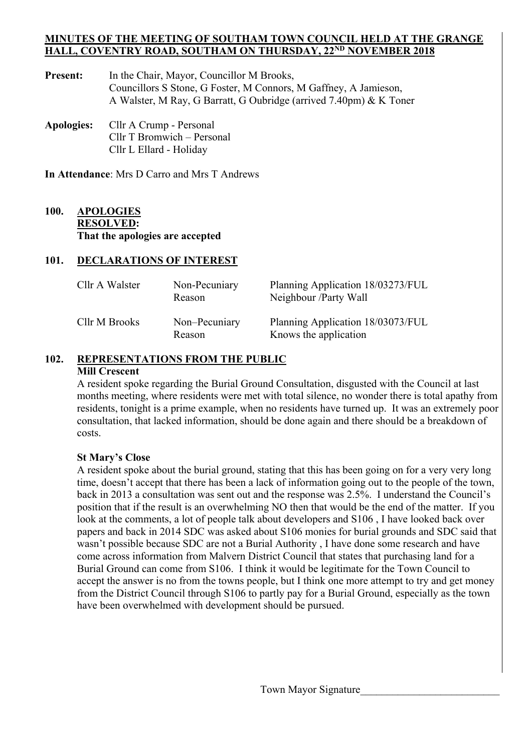#### **MINUTES OF THE MEETING OF SOUTHAM TOWN COUNCIL HELD AT THE GRANGE HALL, COVENTRY ROAD, SOUTHAM ON THURSDAY, 22ND NOVEMBER 2018**

- Present: In the Chair, Mayor, Councillor M Brooks, Councillors S Stone, G Foster, M Connors, M Gaffney, A Jamieson, A Walster, M Ray, G Barratt, G Oubridge (arrived 7.40pm) & K Toner
- **Apologies:** Cllr A Crump Personal Cllr T Bromwich – Personal Cllr L Ellard - Holiday

**In Attendance**: Mrs D Carro and Mrs T Andrews

### **100. APOLOGIES RESOLVED: That the apologies are accepted**

### **101. DECLARATIONS OF INTEREST**

| Cllr A Walster | Non-Pecuniary<br>Reason | Planning Application 18/03273/FUL<br>Neighbour /Party Wall |
|----------------|-------------------------|------------------------------------------------------------|
| Cllr M Brooks  | Non-Pecuniary<br>Reason | Planning Application 18/03073/FUL<br>Knows the application |

## **102. REPRESENTATIONS FROM THE PUBLIC**

#### **Mill Crescent**

 A resident spoke regarding the Burial Ground Consultation, disgusted with the Council at last months meeting, where residents were met with total silence, no wonder there is total apathy from residents, tonight is a prime example, when no residents have turned up. It was an extremely poor consultation, that lacked information, should be done again and there should be a breakdown of costs.

### **St Mary's Close**

A resident spoke about the burial ground, stating that this has been going on for a very very long time, doesn't accept that there has been a lack of information going out to the people of the town, back in 2013 a consultation was sent out and the response was 2.5%. I understand the Council's position that if the result is an overwhelming NO then that would be the end of the matter. If you look at the comments, a lot of people talk about developers and S106 , I have looked back over papers and back in 2014 SDC was asked about S106 monies for burial grounds and SDC said that wasn't possible because SDC are not a Burial Authority , I have done some research and have come across information from Malvern District Council that states that purchasing land for a Burial Ground can come from S106. I think it would be legitimate for the Town Council to accept the answer is no from the towns people, but I think one more attempt to try and get money from the District Council through S106 to partly pay for a Burial Ground, especially as the town have been overwhelmed with development should be pursued.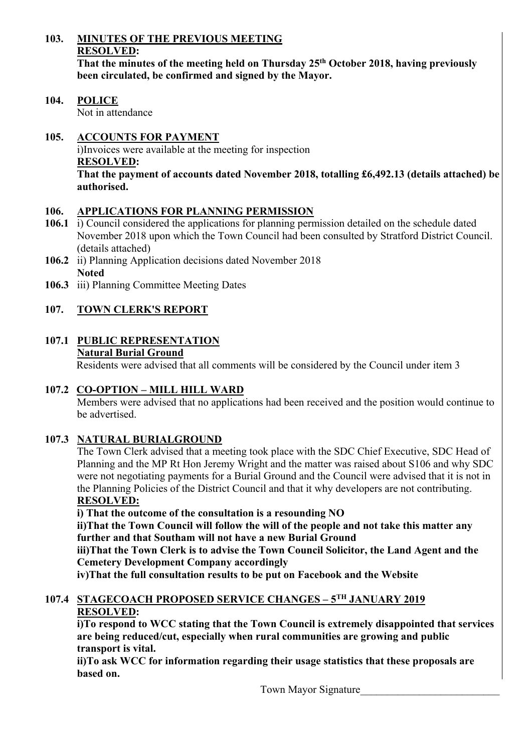### **103. MINUTES OF THE PREVIOUS MEETING RESOLVED:**  That the minutes of the meeting held on Thursday 25<sup>th</sup> October 2018, having previously **been circulated, be confirmed and signed by the Mayor.**

**104. POLICE**  Not in attendance

## **105. ACCOUNTS FOR PAYMENT**

 i)Invoices were available at the meeting for inspection **RESOLVED: That the payment of accounts dated November 2018, totalling £6,492.13 (details attached) be authorised.** 

### **106. APPLICATIONS FOR PLANNING PERMISSION**

- **106.1** i) Council considered the applications for planning permission detailed on the schedule dated November 2018 upon which the Town Council had been consulted by Stratford District Council. (details attached)
- **106.2** ii) Planning Application decisions dated November 2018 **Noted**
- **106.3** iii) Planning Committee Meeting Dates

# **107. TOWN CLERK'S REPORT**

#### **107.1 PUBLIC REPRESENTATION Natural Burial Ground**

Residents were advised that all comments will be considered by the Council under item 3

## **107.2 CO-OPTION – MILL HILL WARD**

Members were advised that no applications had been received and the position would continue to be advertised.

## **107.3 NATURAL BURIALGROUND**

The Town Clerk advised that a meeting took place with the SDC Chief Executive, SDC Head of Planning and the MP Rt Hon Jeremy Wright and the matter was raised about S106 and why SDC were not negotiating payments for a Burial Ground and the Council were advised that it is not in the Planning Policies of the District Council and that it why developers are not contributing. **RESOLVED:** 

 **i) That the outcome of the consultation is a resounding NO** 

 **ii)That the Town Council will follow the will of the people and not take this matter any further and that Southam will not have a new Burial Ground** 

 **iii)That the Town Clerk is to advise the Town Council Solicitor, the Land Agent and the Cemetery Development Company accordingly** 

 **iv)That the full consultation results to be put on Facebook and the Website** 

## **107.4 STAGECOACH PROPOSED SERVICE CHANGES – 5TH JANUARY 2019 RESOLVED:**

 **i)To respond to WCC stating that the Town Council is extremely disappointed that services are being reduced/cut, especially when rural communities are growing and public transport is vital.** 

 **ii)To ask WCC for information regarding their usage statistics that these proposals are based on.** 

Town Mayor Signature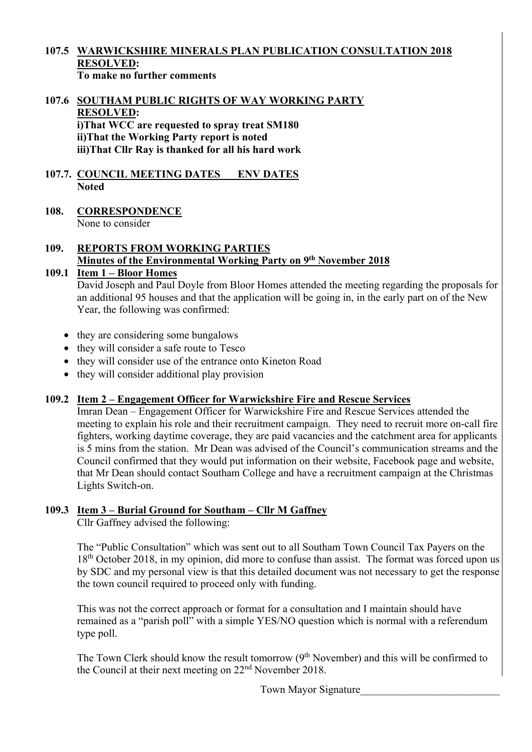#### **107.5 WARWICKSHIRE MINERALS PLAN PUBLICATION CONSULTATION 2018 RESOLVED: To make no further comments**

#### **107.6 SOUTHAM PUBLIC RIGHTS OF WAY WORKING PARTY RESOLVED: i)That WCC are requested to spray treat SM180 ii)That the Working Party report is noted iii)That Cllr Ray is thanked for all his hard work**

### **107.7. COUNCIL MEETING DATES ENV DATES Noted**

#### **108. CORRESPONDENCE**  None to consider

## **109. REPORTS FROM WORKING PARTIES Minutes of the Environmental Working Party on 9th November 2018**

## **109.1 Item 1 – Bloor Homes**

 David Joseph and Paul Doyle from Bloor Homes attended the meeting regarding the proposals for an additional 95 houses and that the application will be going in, in the early part on of the New Year, the following was confirmed:

- they are considering some bungalows
- they will consider a safe route to Tesco
- they will consider use of the entrance onto Kineton Road
- they will consider additional play provision

## **109.2 Item 2 – Engagement Officer for Warwickshire Fire and Rescue Services**

 Imran Dean – Engagement Officer for Warwickshire Fire and Rescue Services attended the meeting to explain his role and their recruitment campaign. They need to recruit more on-call fire fighters, working daytime coverage, they are paid vacancies and the catchment area for applicants is 5 mins from the station. Mr Dean was advised of the Council's communication streams and the Council confirmed that they would put information on their website, Facebook page and website, that Mr Dean should contact Southam College and have a recruitment campaign at the Christmas Lights Switch-on.

### **109.3 Item 3 – Burial Ground for Southam – Cllr M Gaffney**

Cllr Gaffney advised the following:

 The "Public Consultation" which was sent out to all Southam Town Council Tax Payers on the 18<sup>th</sup> October 2018, in my opinion, did more to confuse than assist. The format was forced upon us by SDC and my personal view is that this detailed document was not necessary to get the response the town council required to proceed only with funding.

 This was not the correct approach or format for a consultation and I maintain should have remained as a "parish poll" with a simple YES/NO question which is normal with a referendum type poll.

The Town Clerk should know the result tomorrow  $(9<sup>th</sup>$  November) and this will be confirmed to the Council at their next meeting on 22nd November 2018.

Town Mayor Signature\_\_\_\_\_\_\_\_\_\_\_\_\_\_\_\_\_\_\_\_\_\_\_\_\_\_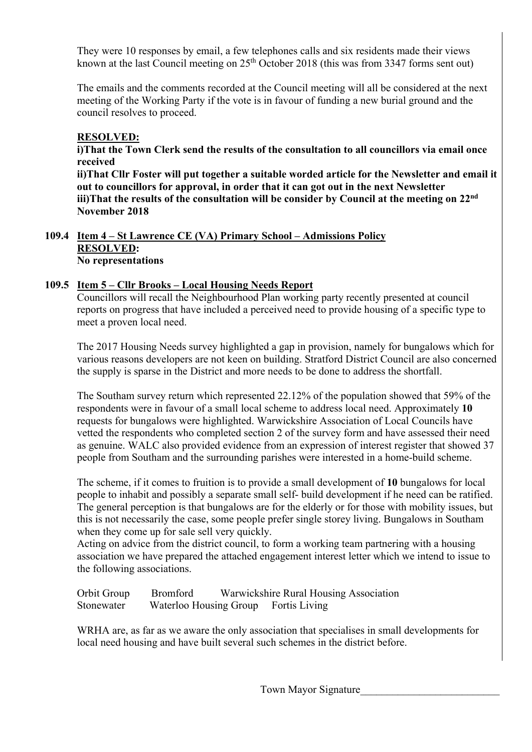They were 10 responses by email, a few telephones calls and six residents made their views known at the last Council meeting on  $25<sup>th</sup>$  October 2018 (this was from 3347 forms sent out)

 The emails and the comments recorded at the Council meeting will all be considered at the next meeting of the Working Party if the vote is in favour of funding a new burial ground and the council resolves to proceed.

### **RESOLVED:**

 **i)That the Town Clerk send the results of the consultation to all councillors via email once received** 

 **ii)That Cllr Foster will put together a suitable worded article for the Newsletter and email it out to councillors for approval, in order that it can got out in the next Newsletter iii)That the results of the consultation will be consider by Council at the meeting on 22nd November 2018** 

#### **109.4 Item 4 – St Lawrence CE (VA) Primary School – Admissions Policy RESOLVED: No representations**

### **109.5 Item 5 – Cllr Brooks – Local Housing Needs Report**

 Councillors will recall the Neighbourhood Plan working party recently presented at council reports on progress that have included a perceived need to provide housing of a specific type to meet a proven local need.

 The 2017 Housing Needs survey highlighted a gap in provision, namely for bungalows which for various reasons developers are not keen on building. Stratford District Council are also concerned the supply is sparse in the District and more needs to be done to address the shortfall.

 The Southam survey return which represented 22.12% of the population showed that 59% of the respondents were in favour of a small local scheme to address local need. Approximately **10**  requests for bungalows were highlighted. Warwickshire Association of Local Councils have vetted the respondents who completed section 2 of the survey form and have assessed their need as genuine. WALC also provided evidence from an expression of interest register that showed 37 people from Southam and the surrounding parishes were interested in a home-build scheme.

 The scheme, if it comes to fruition is to provide a small development of **10** bungalows for local people to inhabit and possibly a separate small self- build development if he need can be ratified. The general perception is that bungalows are for the elderly or for those with mobility issues, but this is not necessarily the case, some people prefer single storey living. Bungalows in Southam when they come up for sale sell very quickly.

 Acting on advice from the district council, to form a working team partnering with a housing association we have prepared the attached engagement interest letter which we intend to issue to the following associations.

| Orbit Group | Bromford | Warwickshire Rural Housing Association |  |
|-------------|----------|----------------------------------------|--|
| Stonewater  |          | Waterloo Housing Group Fortis Living   |  |

 WRHA are, as far as we aware the only association that specialises in small developments for local need housing and have built several such schemes in the district before.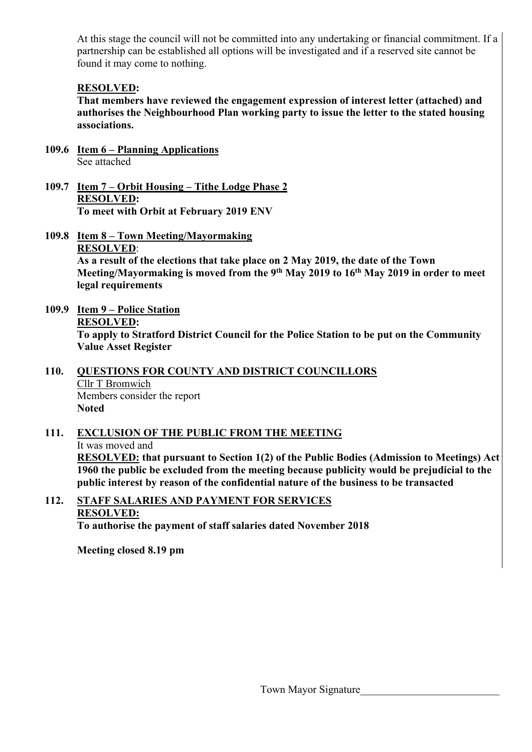At this stage the council will not be committed into any undertaking or financial commitment. If a partnership can be established all options will be investigated and if a reserved site cannot be found it may come to nothing.

### **RESOLVED:**

 **That members have reviewed the engagement expression of interest letter (attached) and authorises the Neighbourhood Plan working party to issue the letter to the stated housing associations.** 

- **109.6 Item 6 Planning Applications**  See attached
- **109.7 Item 7 Orbit Housing Tithe Lodge Phase 2 RESOLVED: To meet with Orbit at February 2019 ENV**
- **109.8 Item 8 Town Meeting/Mayormaking RESOLVED**:  **As a result of the elections that take place on 2 May 2019, the date of the Town Meeting/Mayormaking is moved from the 9th May 2019 to 16th May 2019 in order to meet legal requirements**
- **109.9 Item 9 Police Station RESOLVED: To apply to Stratford District Council for the Police Station to be put on the Community Value Asset Register**

#### **110. QUESTIONS FOR COUNTY AND DISTRICT COUNCILLORS**  Cllr T Bromwich Members consider the report **Noted**

#### **111. EXCLUSION OF THE PUBLIC FROM THE MEETING**  It was moved and **RESOLVED: that pursuant to Section 1(2) of the Public Bodies (Admission to Meetings) Act 1960 the public be excluded from the meeting because publicity would be prejudicial to the public interest by reason of the confidential nature of the business to be transacted**

#### **112. STAFF SALARIES AND PAYMENT FOR SERVICES RESOLVED: To authorise the payment of staff salaries dated November 2018**

 **Meeting closed 8.19 pm**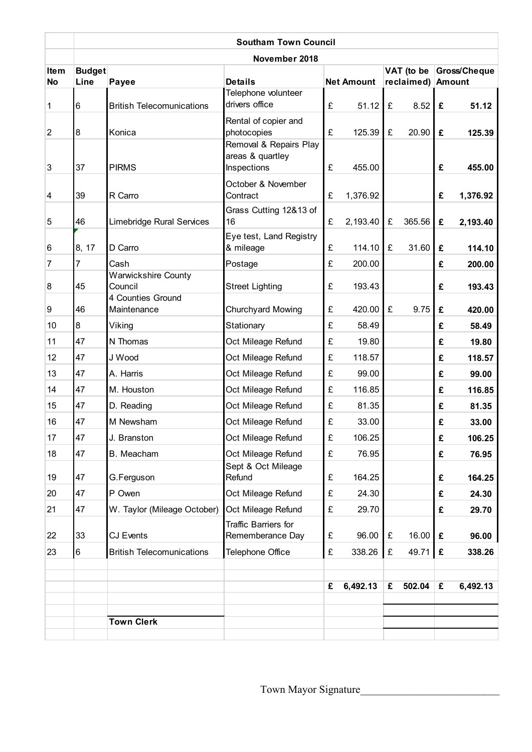|                          | <b>Southam Town Council</b> |                                                            |                                                           |                   |          |                                 |        |              |          |
|--------------------------|-----------------------------|------------------------------------------------------------|-----------------------------------------------------------|-------------------|----------|---------------------------------|--------|--------------|----------|
|                          | November 2018               |                                                            |                                                           |                   |          |                                 |        |              |          |
| <b>Item</b><br><b>No</b> | <b>Budget</b><br>Line       | Payee                                                      | <b>Details</b>                                            | <b>Net Amount</b> |          | VAT (to be<br>reclaimed) Amount |        | Gross/Cheque |          |
| 1                        | $6\phantom{.}6$             | <b>British Telecomunications</b>                           | Telephone volunteer<br>drivers office                     | £                 | 51.12    | £                               | 8.52   | £            | 51.12    |
| $\overline{2}$           | $\bf{8}$                    | Konica                                                     | Rental of copier and<br>photocopies                       | £                 | 125.39   | £                               | 20.90  | £            | 125.39   |
| 3                        | 37                          | <b>PIRMS</b>                                               | Removal & Repairs Play<br>areas & quartley<br>Inspections | £                 | 455.00   |                                 |        | £            | 455.00   |
| $\overline{4}$           | 39                          | R Carro                                                    | October & November<br>Contract                            | £                 | 1,376.92 |                                 |        | £            | 1,376.92 |
| 5                        | 46                          | Limebridge Rural Services                                  | Grass Cutting 12&13 of<br>16                              | £                 | 2,193.40 | £                               | 365.56 | £            | 2,193.40 |
| 6                        | 8, 17                       | D Carro                                                    | Eye test, Land Registry<br>& mileage                      | £                 | 114.10   | £                               | 31.60  | £            | 114.10   |
| 7                        | 7                           | Cash                                                       | Postage                                                   | £                 | 200.00   |                                 |        | £            | 200.00   |
| $\boldsymbol{8}$         | 45                          | <b>Warwickshire County</b><br>Council<br>4 Counties Ground | <b>Street Lighting</b>                                    | £                 | 193.43   |                                 |        | £            | 193.43   |
| 9                        | 46                          | Maintenance                                                | Churchyard Mowing                                         | £                 | 420.00   | £                               | 9.75   | £            | 420.00   |
| 10                       | $\overline{8}$              | Viking                                                     | Stationary                                                | £                 | 58.49    |                                 |        | £            | 58.49    |
| 11                       | 47                          | N Thomas                                                   | Oct Mileage Refund                                        | £                 | 19.80    |                                 |        | £            | 19.80    |
| 12                       | 47                          | J Wood                                                     | Oct Mileage Refund                                        | £                 | 118.57   |                                 |        | £            | 118.57   |
| 13                       | 47                          | A. Harris                                                  | Oct Mileage Refund                                        | £                 | 99.00    |                                 |        | £            | 99.00    |
| 14                       | 47                          | M. Houston                                                 | Oct Mileage Refund                                        | £                 | 116.85   |                                 |        | £            | 116.85   |
| 15                       | 47                          | D. Reading                                                 | Oct Mileage Refund                                        | £                 | 81.35    |                                 |        | £            | 81.35    |
| 16                       | 47                          | M Newsham                                                  | Oct Mileage Refund                                        | £                 | 33.00    |                                 |        | £            | 33.00    |
| 17                       | 47                          | J. Branston                                                | Oct Mileage Refund                                        | £                 | 106.25   |                                 |        | £            | 106.25   |
| 18                       | 47                          | B. Meacham                                                 | Oct Mileage Refund                                        | £                 | 76.95    |                                 |        | £            | 76.95    |
| 19                       | 47                          | G.Ferguson                                                 | Sept & Oct Mileage<br>Refund                              | £                 | 164.25   |                                 |        | £            | 164.25   |
| 20                       | 47                          | P Owen                                                     | Oct Mileage Refund                                        | £                 | 24.30    |                                 |        | £            | 24.30    |
| 21                       | 47                          | W. Taylor (Mileage October)                                | Oct Mileage Refund                                        | £                 | 29.70    |                                 |        | £            | 29.70    |
| 22                       | 33                          | CJ Events                                                  | Traffic Barriers for<br>Rememberance Day                  | £                 | 96.00    | £                               | 16.00  | £            | 96.00    |
| 23                       | $6\phantom{.}$              | <b>British Telecomunications</b>                           | Telephone Office                                          | £                 | 338.26   | £                               | 49.71  | £            | 338.26   |
|                          |                             |                                                            |                                                           | £                 | 6,492.13 | £                               | 502.04 | £            | 6,492.13 |
|                          |                             |                                                            |                                                           |                   |          |                                 |        |              |          |
|                          |                             | <b>Town Clerk</b>                                          |                                                           |                   |          |                                 |        |              |          |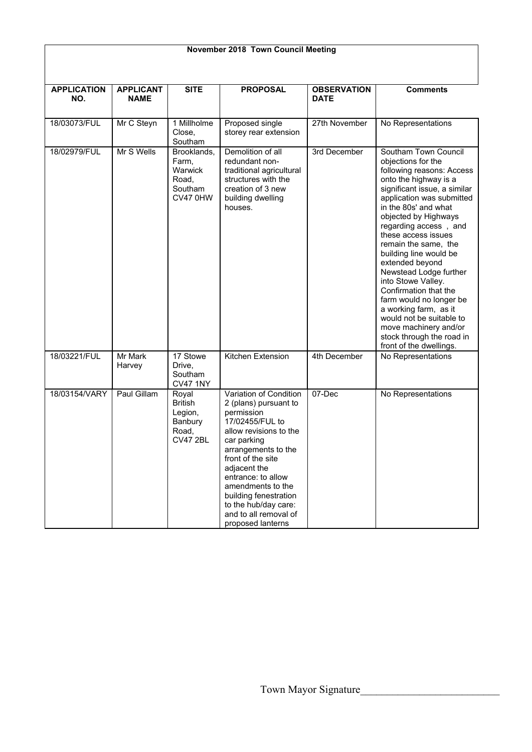| <b>APPLICATION</b><br>NO. | <b>APPLICANT</b><br><b>NAME</b> | <b>SITE</b>                                                            | <b>PROPOSAL</b>                                                                                                                                                                                                                                                                                                                 | <b>OBSERVATION</b><br><b>DATE</b> | <b>Comments</b>                                                                                                                                                                                                                                                                                                                                                                                                                                                                                                                                                              |  |
|---------------------------|---------------------------------|------------------------------------------------------------------------|---------------------------------------------------------------------------------------------------------------------------------------------------------------------------------------------------------------------------------------------------------------------------------------------------------------------------------|-----------------------------------|------------------------------------------------------------------------------------------------------------------------------------------------------------------------------------------------------------------------------------------------------------------------------------------------------------------------------------------------------------------------------------------------------------------------------------------------------------------------------------------------------------------------------------------------------------------------------|--|
| 18/03073/FUL              | Mr C Steyn                      | 1 Millholme<br>Close,<br>Southam                                       | Proposed single<br>storey rear extension                                                                                                                                                                                                                                                                                        | 27th November                     | No Representations                                                                                                                                                                                                                                                                                                                                                                                                                                                                                                                                                           |  |
| 18/02979/FUL              | Mr S Wells                      | Brooklands,<br>Farm,<br>Warwick<br>Road.<br>Southam<br><b>CV47 0HW</b> | Demolition of all<br>redundant non-<br>traditional agricultural<br>structures with the<br>creation of 3 new<br>building dwelling<br>houses.                                                                                                                                                                                     | 3rd December                      | Southam Town Council<br>objections for the<br>following reasons: Access<br>onto the highway is a<br>significant issue, a similar<br>application was submitted<br>in the 80s' and what<br>objected by Highways<br>regarding access, and<br>these access issues<br>remain the same, the<br>building line would be<br>extended beyond<br>Newstead Lodge further<br>into Stowe Valley.<br>Confirmation that the<br>farm would no longer be<br>a working farm, as it<br>would not be suitable to<br>move machinery and/or<br>stock through the road in<br>front of the dwellings. |  |
| 18/03221/FUL              | Mr Mark<br>Harvey               | 17 Stowe<br>Drive,<br>Southam<br><b>CV47 1NY</b>                       | Kitchen Extension                                                                                                                                                                                                                                                                                                               | 4th December                      | No Representations                                                                                                                                                                                                                                                                                                                                                                                                                                                                                                                                                           |  |
| 18/03154/VARY             | Paul Gillam                     | Royal<br><b>British</b><br>Legion,<br>Banbury<br>Road,<br>CV47 2BL     | Variation of Condition<br>2 (plans) pursuant to<br>permission<br>17/02455/FUL to<br>allow revisions to the<br>car parking<br>arrangements to the<br>front of the site<br>adjacent the<br>entrance: to allow<br>amendments to the<br>building fenestration<br>to the hub/day care:<br>and to all removal of<br>proposed lanterns | 07-Dec                            | No Representations                                                                                                                                                                                                                                                                                                                                                                                                                                                                                                                                                           |  |

## **November 2018 Town Council Meeting**

ヿ

 $\overline{\phantom{a}}$